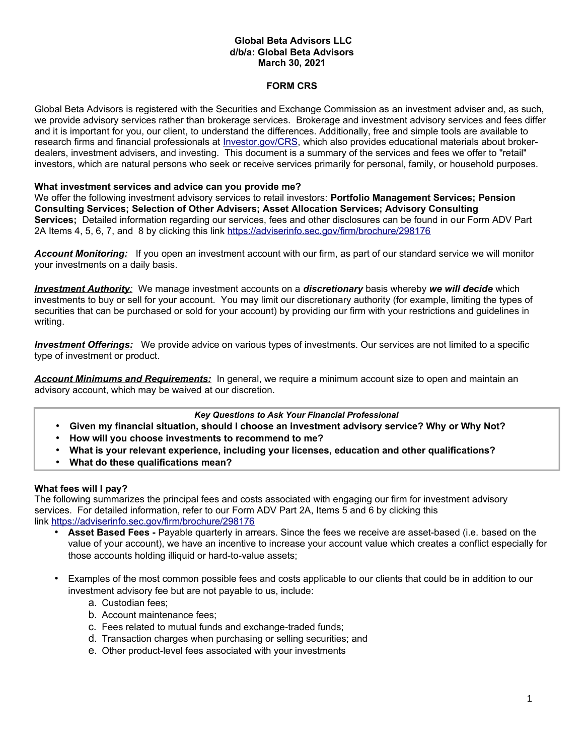## **Global Beta Advisors LLC d/b/a: Global Beta Advisors March 30, 2021**

## **FORM CRS**

Global Beta Advisors is registered with the Securities and Exchange Commission as an investment adviser and, as such, we provide advisory services rather than brokerage services. Brokerage and investment advisory services and fees differ and it is important for you, our client, to understand the differences. Additionally, free and simple tools are available to research firms and financial professionals at *Investor.gov/CRS*, which also provides educational materials about brokerdealers, investment advisers, and investing. This document is a summary of the services and fees we offer to "retail" investors, which are natural persons who seek or receive services primarily for personal, family, or household purposes.

### **What investment services and advice can you provide me?**

We offer the following investment advisory services to retail investors: **Portfolio Management Services; Pension Consulting Services; Selection of Other Advisers; Asset Allocation Services; Advisory Consulting Services;** Detailed information regarding our services, fees and other disclosures can be found in our Form ADV Part 2A Items 4, 5, 6, 7, and 8 by clicking this link <https://adviserinfo.sec.gov/firm/brochure/298176>

*Account Monitoring:* If you open an investment account with our firm, as part of our standard service we will monitor your investments on a daily basis.

 *Investment Authority:* We manage investment accounts on a *discretionary* basis whereby *we will decide* which investments to buy or sell for your account. You may limit our discretionary authority (for example, limiting the types of securities that can be purchased or sold for your account) by providing our firm with your restrictions and guidelines in writing.

 *Investment Offerings:* We provide advice on various types of investments. Our services are not limited to a specific type of investment or product.

*Account Minimums and Requirements:* In general, we require a minimum account size to open and maintain an advisory account, which may be waived at our discretion.

*Key Questions to Ask Your Financial Professional*

- **Given my financial situation, should I choose an investment advisory service? Why or Why Not?**
- **How will you choose investments to recommend to me?**
- **What is your relevant experience, including your licenses, education and other qualifications?**
- **What do these qualifications mean?**

### **What fees will I pay?**

The following summarizes the principal fees and costs associated with engaging our firm for investment advisory services. For detailed information, refer to our Form ADV Part 2A, Items 5 and 6 by clicking this link <https://adviserinfo.sec.gov/firm/brochure/298176>

- **Asset Based Fees -** Payable quarterly in arrears. Since the fees we receive are asset-based (i.e. based on the value of your account), we have an incentive to increase your account value which creates a conflict especially for those accounts holding illiquid or hard-to-value assets;
- Examples of the most common possible fees and costs applicable to our clients that could be in addition to our investment advisory fee but are not payable to us, include:
	- a. Custodian fees;
	- b. Account maintenance fees;
	- c. Fees related to mutual funds and exchange-traded funds;
	- d. Transaction charges when purchasing or selling securities; and
	- e. Other product-level fees associated with your investments